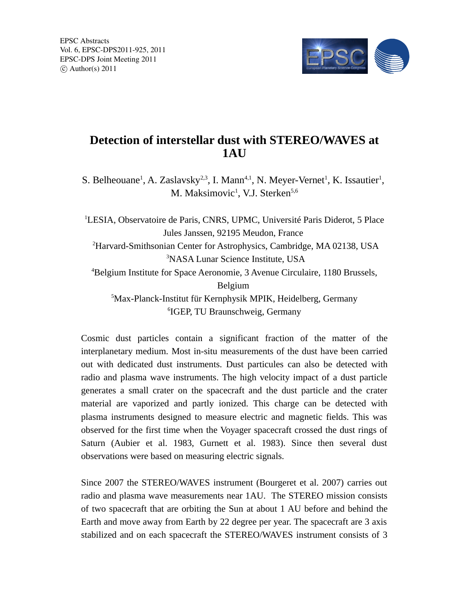

## **Detection of interstellar dust with STEREO/WAVES at 1AU**

S. Belheouane<sup>1</sup>, A. Zaslavsky<sup>2,3</sup>, I. Mann<sup>4,1</sup>, N. Meyer-Vernet<sup>1</sup>, K. Issautier<sup>1</sup>, M. Maksimovic<sup>1</sup>, V.J. Sterken<sup>5,6</sup>

<sup>1</sup>LESIA, Observatoire de Paris, CNRS, UPMC, Université Paris Diderot, 5 Place Jules Janssen, 92195 Meudon, France <sup>2</sup>Harvard-Smithsonian Center for Astrophysics, Cambridge, MA 02138, USA <sup>3</sup>NASA Lunar Science Institute, USA <sup>4</sup>Belgium Institute for Space Aeronomie, 3 Avenue Circulaire, 1180 Brussels, Belgium <sup>5</sup>Max-Planck-Institut für Kernphysik MPIK, Heidelberg, Germany 6 IGEP, TU Braunschweig, Germany

Cosmic dust particles contain a significant fraction of the matter of the interplanetary medium. Most in-situ measurements of the dust have been carried out with dedicated dust instruments. Dust particules can also be detected with radio and plasma wave instruments. The high velocity impact of a dust particle generates a small crater on the spacecraft and the dust particle and the crater material are vaporized and partly ionized. This charge can be detected with plasma instruments designed to measure electric and magnetic fields. This was observed for the first time when the Voyager spacecraft crossed the dust rings of Saturn (Aubier et al. 1983, Gurnett et al. 1983). Since then several dust observations were based on measuring electric signals.

Since 2007 the STEREO/WAVES instrument (Bourgeret et al. 2007) carries out radio and plasma wave measurements near 1AU. The STEREO mission consists of two spacecraft that are orbiting the Sun at about 1 AU before and behind the Earth and move away from Earth by 22 degree per year. The spacecraft are 3 axis stabilized and on each spacecraft the STEREO/WAVES instrument consists of 3